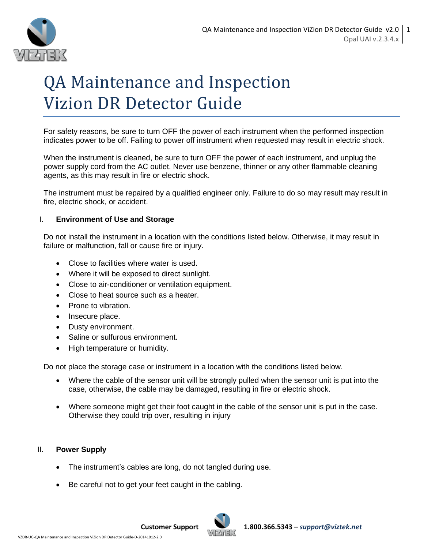

# QA Maintenance and Inspection Vizion DR Detector Guide

For safety reasons, be sure to turn OFF the power of each instrument when the performed inspection indicates power to be off. Failing to power off instrument when requested may result in electric shock.

When the instrument is cleaned, be sure to turn OFF the power of each instrument, and unplug the power supply cord from the AC outlet. Never use benzene, thinner or any other flammable cleaning agents, as this may result in fire or electric shock.

The instrument must be repaired by a qualified engineer only. Failure to do so may result may result in fire, electric shock, or accident.

# I. **Environment of Use and Storage**

Do not install the instrument in a location with the conditions listed below. Otherwise, it may result in failure or malfunction, fall or cause fire or injury.

- Close to facilities where water is used.
- Where it will be exposed to direct sunlight.
- Close to air-conditioner or ventilation equipment.
- Close to heat source such as a heater.
- Prone to vibration.
- Insecure place.
- Dusty environment.
- Saline or sulfurous environment.
- High temperature or humidity.

Do not place the storage case or instrument in a location with the conditions listed below.

- Where the cable of the sensor unit will be strongly pulled when the sensor unit is put into the case, otherwise, the cable may be damaged, resulting in fire or electric shock.
- Where someone might get their foot caught in the cable of the sensor unit is put in the case. Otherwise they could trip over, resulting in injury

# II. **Power Supply**

- The instrument's cables are long, do not tangled during use.
- Be careful not to get your feet caught in the cabling.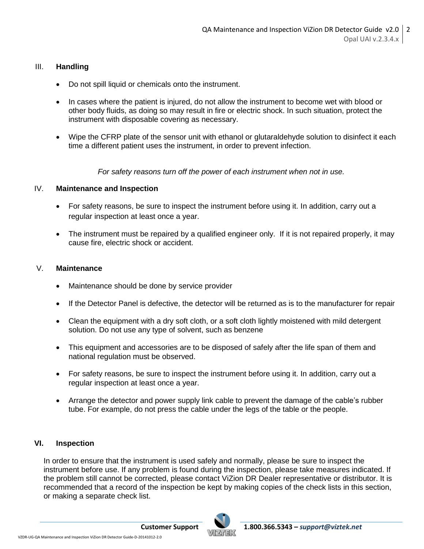## III. **Handling**

- Do not spill liquid or chemicals onto the instrument.
- In cases where the patient is injured, do not allow the instrument to become wet with blood or other body fluids, as doing so may result in fire or electric shock. In such situation, protect the instrument with disposable covering as necessary.
- Wipe the CFRP plate of the sensor unit with ethanol or glutaraldehyde solution to disinfect it each time a different patient uses the instrument, in order to prevent infection.

*For safety reasons turn off the power of each instrument when not in use.*

## IV. **Maintenance and Inspection**

- For safety reasons, be sure to inspect the instrument before using it. In addition, carry out a regular inspection at least once a year.
- The instrument must be repaired by a qualified engineer only. If it is not repaired properly, it may cause fire, electric shock or accident.

#### V. **Maintenance**

- Maintenance should be done by service provider
- If the Detector Panel is defective, the detector will be returned as is to the manufacturer for repair
- Clean the equipment with a dry soft cloth, or a soft cloth lightly moistened with mild detergent solution. Do not use any type of solvent, such as benzene
- This equipment and accessories are to be disposed of safely after the life span of them and national regulation must be observed.
- For safety reasons, be sure to inspect the instrument before using it. In addition, carry out a regular inspection at least once a year.
- Arrange the detector and power supply link cable to prevent the damage of the cable's rubber tube. For example, do not press the cable under the legs of the table or the people.

## **VI. Inspection**

In order to ensure that the instrument is used safely and normally, please be sure to inspect the instrument before use. If any problem is found during the inspection, please take measures indicated. If the problem still cannot be corrected, please contact ViZion DR Dealer representative or distributor. It is recommended that a record of the inspection be kept by making copies of the check lists in this section, or making a separate check list.

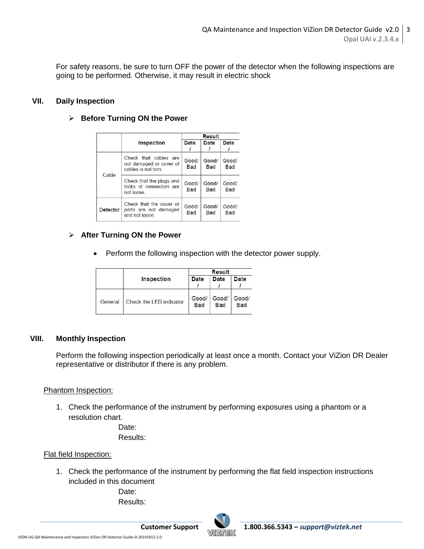For safety reasons, be sure to turn OFF the power of the detector when the following inspections are going to be performed. Otherwise, it may result in electric shock

## **VII. Daily Inspection**

#### **Before Turning ON the Power**

|          |                                                                         | Result              |              |              |
|----------|-------------------------------------------------------------------------|---------------------|--------------|--------------|
|          | Inspection                                                              | Date                | Date         | Date         |
| Cable    | Check that cables are<br>not damaged or cover of<br>cables is not torn. | Good/<br>Bad        | Good/<br>Bad | Good/<br>Bad |
|          | Check that the plugs and<br>locks of connectors are<br>not loose        | Good/<br>Bad        | Good/<br>Bad | Good/<br>Bad |
| Detector | Check that the cover or<br>parts are not damaged<br>and not loose.      | Good/<br><b>Bad</b> | Good/<br>Bad | Good/<br>Bad |

#### **After Turning ON the Power**

• Perform the following inspection with the detector power supply.

|         |                         | Result       |              |              |
|---------|-------------------------|--------------|--------------|--------------|
|         | Inspection              | Date         | Date         | Date         |
| General | Check the LED indicator | Good/<br>Bad | Good/<br>Bad | Good/<br>Bad |

## **VIII. Monthly Inspection**

Perform the following inspection periodically at least once a month. Contact your ViZion DR Dealer representative or distributor if there is any problem.

## Phantom Inspection:

1. Check the performance of the instrument by performing exposures using a phantom or a resolution chart.

> Date: Results:

## Flat field Inspection:

1. Check the performance of the instrument by performing the flat field inspection instructions included in this document

> Date: Results:

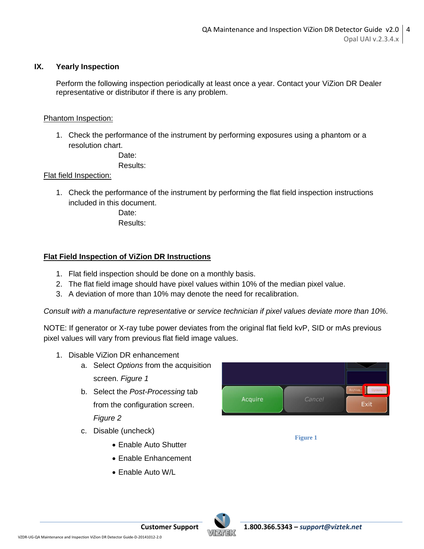# **IX. Yearly Inspection**

Perform the following inspection periodically at least once a year. Contact your ViZion DR Dealer representative or distributor if there is any problem.

## Phantom Inspection:

1. Check the performance of the instrument by performing exposures using a phantom or a resolution chart.

> Date: Results:

## Flat field Inspection:

1. Check the performance of the instrument by performing the flat field inspection instructions included in this document.

Date<sup>-</sup> Results:

# **Flat Field Inspection of ViZion DR Instructions**

- 1. Flat field inspection should be done on a monthly basis.
- 2. The flat field image should have pixel values within 10% of the median pixel value.
- 3. A deviation of more than 10% may denote the need for recalibration.

*Consult with a manufacture representative or service technician if pixel values deviate more than 10%.*

NOTE: If generator or X-ray tube power deviates from the original flat field kvP, SID or mAs previous pixel values will vary from previous flat field image values.

- 1. Disable ViZion DR enhancement
	- a. Select *Options* from the acquisition screen. *Figure 1*
	- b. Select the *Post-Processing* tab from the configuration screen. *Figure 2*
	- c. Disable (uncheck)
		- Enable Auto Shutter
		- Enable Enhancement
		- Enable Auto W/L